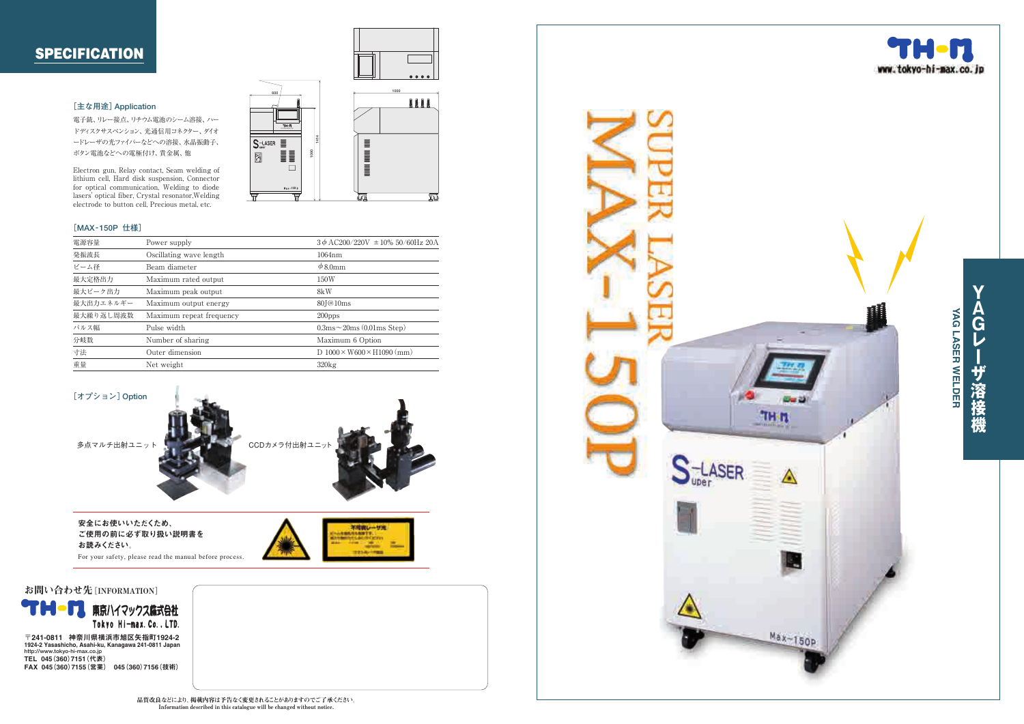### **SPECIFICATION**

### **[主な用途]Application**

電子銃、 リレー接点、リチウム電池のシーム溶接、ハー ドディスクサスペンション、光通信用コネクター、 ダイオ ードレーザの光フ ァ イバーなどへの溶接、水晶振動子、 ボタン電池などへの電極付け、貴金属、 他

Electron gun, Relay contact, Seam welding of lithium cell, Hard disk suspension, Connector for optical communication, Welding to diode lasers' optical fiber, Crystal resonator,Welding electrode to button cell, Precious metal, etc.

### **[MAX -150P 仕様]**

| 電源容量      | Power supply             | $3\phi$ AC200/220V $\pm$ 10% 50/60Hz 20A         |
|-----------|--------------------------|--------------------------------------------------|
| 発振波長      | Oscillating wave length  | 1064nm                                           |
| ビーム径      | Beam diameter            | $\phi$ 8.0mm                                     |
| 最大定格出力    | Maximum rated output     | 150W                                             |
| 最大ピーク出力   | Maximum peak output      | 8kW                                              |
| 最大出力エネルギー | Maximum output energy    | 80 <sub>J</sub> @10 <sub>ms</sub>                |
| 最大繰り返し周波数 | Maximum repeat frequency | $200$ pps                                        |
| パルス幅      | Pulse width              | $0.3 \text{ms} \sim 20 \text{ms}$ (0.01 ms Step) |
| 分岐数       | Number of sharing        | Maximum 6 Option                                 |
| 寸法        | Outer dimension          | D $1000 \times W600 \times H1090$ (mm)           |
| 重量        | Net weight               | $320$ kg                                         |



安全にお使いいただくため、 ご使用の前に必ず取り扱い説明書を お読みください。

For your safety, please read the manual before process.



1924-2 Yasashicho, Asahi-ku, Kanagawa 241-0811 Japan **http://www.tokyo-hi-max.co.jp** TEL 045(360)7151(代表) FAX 045(360)7155(営業) 045(360)7156(技術)



**YAGレーザ溶接機**

ザ溶接機

 $\overline{\mathbf{v}}$ 

G レ







不晴夜し